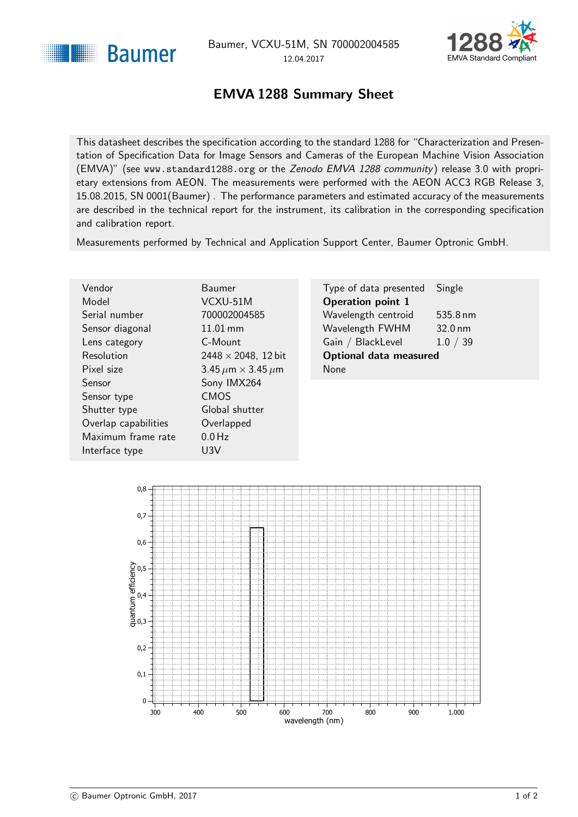<span id="page-0-1"></span>



## EMVA 1288 Summary Sheet

<span id="page-0-0"></span>This datasheet describes the specification according to the standard 1288 for "Characterization and Presentation of Specification Data for Image Sensors and Cameras of the European Machine Vision Association (EMVA)" (see <www.standard1288.org> or the [Zenodo EMVA 1288 community](http://www.zenodo.org/collection/user-emva1288) ) release 3.0 with proprietary extensions from AEON. The measurements were performed with the AEON ACC3 RGB Release 3, 15.08.2015, SN 0001(Baumer) . The performance parameters and estimated accuracy of the measurements are described in the technical report for the instrument, its calibration in the corresponding specification and calibration report.

Measurements performed by Technical and Application Support Center, Baumer Optronic GmbH.

| Vendor               | Baumer                             | Type of data presented        | Single            |
|----------------------|------------------------------------|-------------------------------|-------------------|
| Model                | VCXU-51M                           | <b>Operation point 1</b>      |                   |
| Serial number        | 700002004585                       | Wavelength centroid           | 535.8 nm          |
| Sensor diagonal      | $11.01$ mm                         | Wavelength FWHM               | $32.0 \text{ nm}$ |
| Lens category        | C-Mount                            | Gain / BlackLevel             | 1.0 / 39          |
| Resolution           | $2448 \times 2048$ , 12 bit        | <b>Optional data measured</b> |                   |
| Pixel size           | 3.45 $\mu$ m $\times$ 3.45 $\mu$ m | <b>None</b>                   |                   |
| <b>Sensor</b>        | Sony IMX264                        |                               |                   |
| Sensor type          | <b>CMOS</b>                        |                               |                   |
| Shutter type         | Global shutter                     |                               |                   |
| Overlap capabilities | Overlapped                         |                               |                   |
| Maximum frame rate   | $0.0$ Hz                           |                               |                   |
| Interface type       | U3V                                |                               |                   |